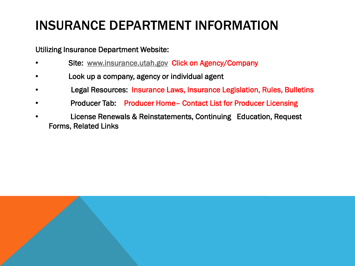#### INSURANCE DEPARTMENT INFORMATION

Utilizing Insurance Department Website:

- Site: [www.insurance.utah.gov](http://www.insurance.utah.gov/) Click on Agency/Company
- Look up a company, agency or individual agent
- Legal Resources: Insurance Laws, Insurance Legislation, Rules, Bulletins
- Producer Tab: Producer Home– Contact List for Producer Licensing
- License Renewals & Reinstatements, Continuing Education, Request Forms, Related Links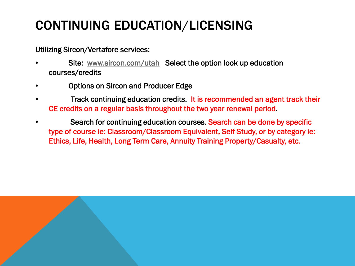# CONTINUING EDUCATION/LICENSING

Utilizing Sircon/Vertafore services:

- Site: [www.sircon.com/utah](http://www.sircon.com/utah) Select the option look up education courses/credits
- Options on Sircon and Producer Edge
- Track continuing education credits. It is recommended an agent track their CE credits on a regular basis throughout the two year renewal period.
- Search for continuing education courses. Search can be done by specific type of course ie: Classroom/Classroom Equivalent, Self Study, or by category ie: Ethics, Life, Health, Long Term Care, Annuity Training Property/Casualty, etc.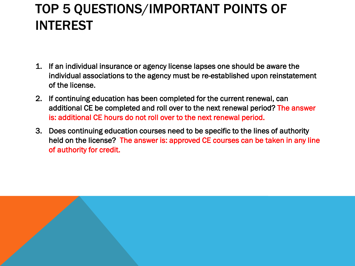## TOP 5 QUESTIONS/IMPORTANT POINTS OF INTEREST

- 1. If an individual insurance or agency license lapses one should be aware the individual associations to the agency must be re-established upon reinstatement of the license.
- 2. If continuing education has been completed for the current renewal, can additional CE be completed and roll over to the next renewal period? The answer is: additional CE hours do not roll over to the next renewal period.
- 3. Does continuing education courses need to be specific to the lines of authority held on the license? The answer is: approved CE courses can be taken in any line of authority for credit.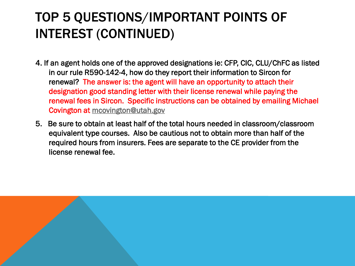## TOP 5 QUESTIONS/IMPORTANT POINTS OF INTEREST (CONTINUED)

- 4. If an agent holds one of the approved designations ie: CFP, CIC, CLU/ChFC as listed in our rule R590-142-4, how do they report their information to Sircon for renewal? The answer is: the agent will have an opportunity to attach their designation good standing letter with their license renewal while paying the renewal fees in Sircon. Specific instructions can be obtained by emailing Michael Covington at [mcovington@utah.gov](mailto:mcovington@utah.gov)
- 5. Be sure to obtain at least half of the total hours needed in classroom/classroom equivalent type courses. Also be cautious not to obtain more than half of the required hours from insurers. Fees are separate to the CE provider from the license renewal fee.